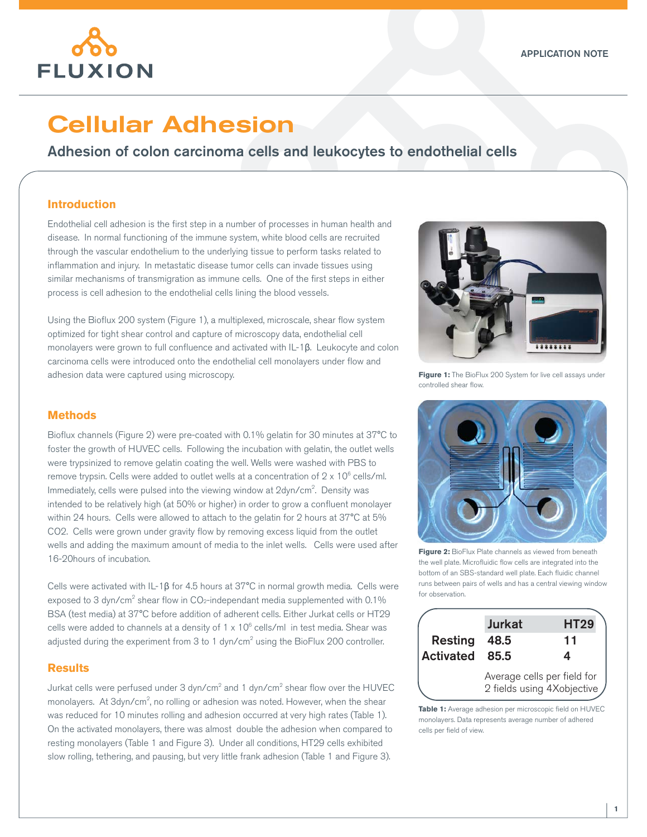

# Cellular Adhesion

## Adhesion of colon carcinoma cells and leukocytes to endothelial cells

### **Introduction**

Endothelial cell adhesion is the first step in a number of processes in human health and disease. In normal functioning of the immune system, white blood cells are recruited through the vascular endothelium to the underlying tissue to perform tasks related to inflammation and injury. In metastatic disease tumor cells can invade tissues using similar mechanisms of transmigration as immune cells. One of the first steps in either process is cell adhesion to the endothelial cells lining the blood vessels.

Using the Bioflux 200 system (Figure 1), a multiplexed, microscale, shear flow system optimized for tight shear control and capture of microscopy data, endothelial cell monolayers were grown to full confluence and activated with IL-1β. Leukocyte and colon carcinoma cells were introduced onto the endothelial cell monolayers under flow and adhesion data were captured using microscopy.



**Figure 1:** The BioFlux 200 System for live cell assays under controlled shear flow.

#### **Methods**

Bioflux channels (Figure 2) were pre-coated with 0.1% gelatin for 30 minutes at 37°C to foster the growth of HUVEC cells. Following the incubation with gelatin, the outlet wells were trypsinized to remove gelatin coating the well. Wells were washed with PBS to remove trypsin. Cells were added to outlet wells at a concentration of  $2 \times 10^6$  cells/ml. Immediately, cells were pulsed into the viewing window at 2dyn/cm<sup>2</sup>. Density was intended to be relatively high (at 50% or higher) in order to grow a confluent monolayer within 24 hours. Cells were allowed to attach to the gelatin for 2 hours at 37°C at 5% CO2. Cells were grown under gravity flow by removing excess liquid from the outlet wells and adding the maximum amount of media to the inlet wells. Cells were used after 16-20hours of incubation.

Cells were activated with IL-1β for 4.5 hours at 37°C in normal growth media. Cells were exposed to 3 dyn/cm<sup>2</sup> shear flow in CO<sub>2</sub>-independant media supplemented with 0.1% BSA (test media) at 37°C before addition of adherent cells. Either Jurkat cells or HT29 cells were added to channels at a density of 1 x 10 $^{\circ}$  cells/ml in test media. Shear was adjusted during the experiment from 3 to 1 dyn/cm<sup>2</sup> using the BioFlux 200 controller.

### **Results**

Jurkat cells were perfused under 3 dyn/cm $^2$  and 1 dyn/cm $^2$  shear flow over the HUVEC monolayers. At 3dyn/cm<sup>2</sup>, no rolling or adhesion was noted. However, when the shear was reduced for 10 minutes rolling and adhesion occurred at very high rates (Table 1). On the activated monolayers, there was almost double the adhesion when compared to resting monolayers (Table 1 and Figure 3). Under all conditions, HT29 cells exhibited slow rolling, tethering, and pausing, but very little frank adhesion (Table 1 and Figure 3).



**Figure 2:** BioFlux Plate channels as viewed from beneath the well plate. Microfluidic flow cells are integrated into the bottom of an SBS-standard well plate. Each fluidic channel runs between pairs of wells and has a central viewing window for observation.

| Resting<br>Activated | <b>Jurkat</b><br>48.5<br>85.5                             | <b>HT29</b><br>11<br>4 |
|----------------------|-----------------------------------------------------------|------------------------|
|                      | Average cells per field for<br>2 fields using 4Xobjective |                        |

**Table 1:** Average adhesion per microscopic field on HUVEC monolayers. Data represents average number of adhered cells per field of view.